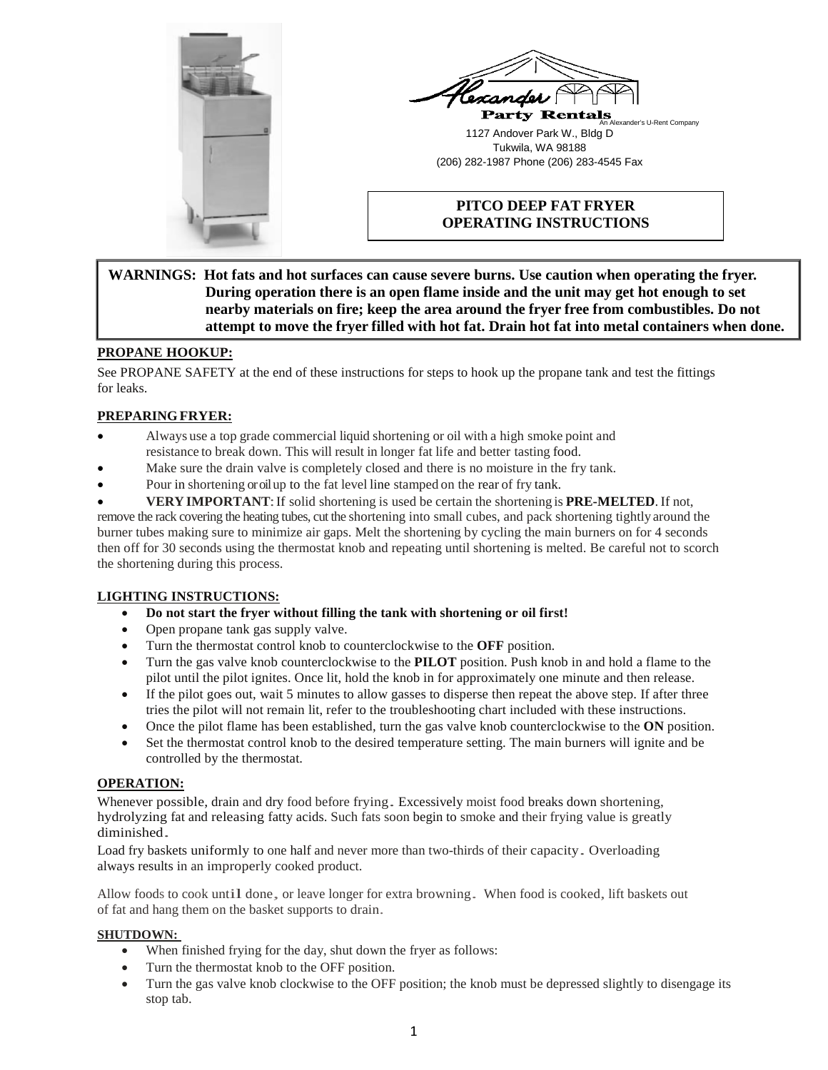



# **PITCO DEEP FAT FRYER OPERATING INSTRUCTIONS**

## **WARNINGS: Hot fats and hot surfaces can cause severe burns. Use caution when operating the fryer. During operation there is an open flame inside and the unit may get hot enough to set nearby materials on fire; keep the area around the fryer free from combustibles. Do not attempt to move the fryer filled with hot fat. Drain hot fat into metal containers when done.**

## **PROPANE HOOKUP:**

See PROPANE SAFETY at the end of these instructions for steps to hook up the propane tank and test the fittings for leaks.

## **PREPARINGFRYER:**

- Always use a top grade commercial liquid shortening or oil with a high smoke point and resistance to break down. This will result in longer fat life and better tasting food.
- Make sure the drain valve is completely closed and there is no moisture in the fry tank.
- Pour in shortening or oil up to the fat level line stamped on the rear of fry tank.
- **VERY IMPORTANT**:If solid shortening is used be certain the shortening is **PRE-MELTED**. If not,

remove the rack covering the heating tubes, cut the shortening into small cubes, and pack shortening tightly around the burner tubes making sure to minimize air gaps. Melt the shortening by cycling the main burners on for 4 seconds then off for 30 seconds using the thermostat knob and repeating until shortening is melted. Be careful not to scorch the shortening during this process.

#### **LIGHTING INSTRUCTIONS:**

- **Do not start the fryer without filling the tank with shortening or oil first!**
- Open propane tank gas supply valve.
- Turn the thermostat control knob to counterclockwise to the **OFF** position.
- Turn the gas valve knob counterclockwise to the **PILOT** position. Push knob in and hold a flame to the pilot until the pilot ignites. Once lit, hold the knob in for approximately one minute and then release.
- If the pilot goes out, wait 5 minutes to allow gasses to disperse then repeat the above step. If after three tries the pilot will not remain lit, refer to the troubleshooting chart included with these instructions.
- Once the pilot flame has been established, turn the gas valve knob counterclockwise to the **ON** position.
- Set the thermostat control knob to the desired temperature setting. The main burners will ignite and be controlled by the thermostat.

#### **OPERATION:**

Whenever possible, drain and dry food before frying. Excessively moist food breaks down shortening, hydrolyzing fat and releasing fatty acids. Such fats soon begin to smoke and their frying value is greatly diminished.

Load fry baskets uniformly to one half and never more than two-thirds of their capacity. Overloading always results in an improperly cooked product.

Allow foods to cook until done, or leave longer for extra browning. When food is cooked, lift baskets out of fat and hang them on the basket supports to drain.

#### **SHUTDOWN:**

- When finished frying for the day, shut down the fryer as follows:
- Turn the thermostat knob to the OFF position.
- Turn the gas valve knob clockwise to the OFF position; the knob must be depressed slightly to disengage its stop tab.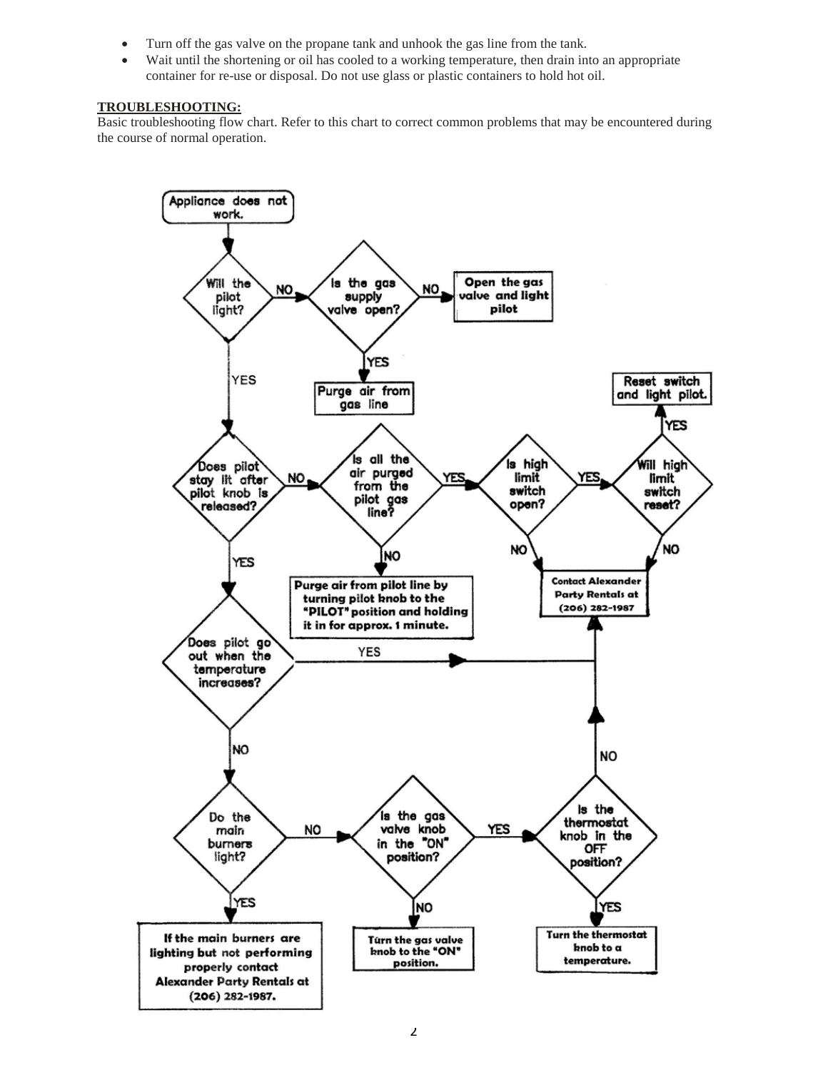- Turn off the gas valve on the propane tank and unhook the gas line from the tank.
- Wait until the shortening or oil has cooled to a working temperature, then drain into an appropriate container for re-use or disposal. Do not use glass or plastic containers to hold hot oil.

#### **TROUBLESHOOTING:**

Basic troubleshooting flow chart. Refer to this chart to correct common problems that may be encountered during the course of normal operation.